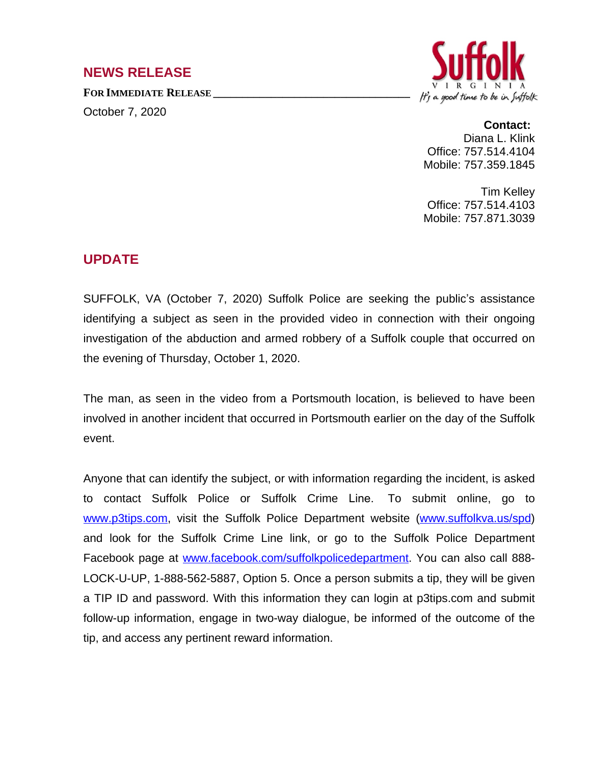## **NEWS RELEASE**

**FOR IMMEDIATE RELEASE \_\_\_\_\_\_\_\_\_\_\_\_\_\_\_\_\_\_\_\_\_\_\_\_\_\_\_\_\_\_\_\_\_\_**

October 7, 2020



## **Contact:**

Diana L. Klink Office: 757.514.4104 Mobile: 757.359.1845

Tim Kelley Office: 757.514.4103 Mobile: 757.871.3039

## **UPDATE**

SUFFOLK, VA (October 7, 2020) Suffolk Police are seeking the public's assistance identifying a subject as seen in the provided video in connection with their ongoing investigation of the abduction and armed robbery of a Suffolk couple that occurred on the evening of Thursday, October 1, 2020.

The man, as seen in the video from a Portsmouth location, is believed to have been involved in another incident that occurred in Portsmouth earlier on the day of the Suffolk event.

Anyone that can identify the subject, or with information regarding the incident, is asked to contact Suffolk Police or Suffolk Crime Line. To submit online, go to www.p3tips.com, visit the Suffolk Police Department website [\(www.suffolkva.us/spd](http://www.suffolkva.us/spd)) and look for the Suffolk Crime Line link, or go to the Suffolk Police Department Facebook page at [www.facebook.com/suffolkpolicedepartment.](http://www.facebook.com/suffolkpolicedepartment) You can also call 888- LOCK-U-UP, 1-888-562-5887, Option 5. Once a person submits a tip, they will be given a TIP ID and password. With this information they can login at p3tips.com and submit follow-up information, engage in two-way dialogue, be informed of the outcome of the tip, and access any pertinent reward information.